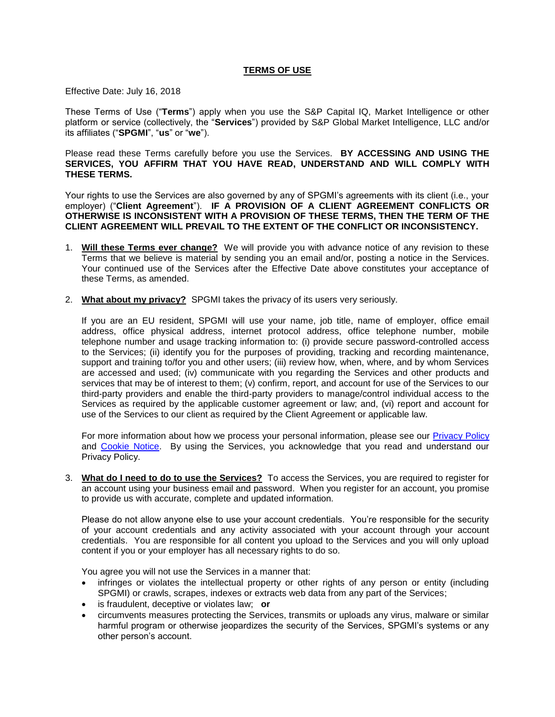## **TERMS OF USE**

Effective Date: July 16, 2018

These Terms of Use ("**Terms**") apply when you use the S&P Capital IQ, Market Intelligence or other platform or service (collectively, the "**Services**") provided by S&P Global Market Intelligence, LLC and/or its affiliates ("**SPGMI**", "**us**" or "**we**").

Please read these Terms carefully before you use the Services. **BY ACCESSING AND USING THE SERVICES, YOU AFFIRM THAT YOU HAVE READ, UNDERSTAND AND WILL COMPLY WITH THESE TERMS.**

Your rights to use the Services are also governed by any of SPGMI's agreements with its client (i.e., your employer) ("**Client Agreement**"). **IF A PROVISION OF A CLIENT AGREEMENT CONFLICTS OR OTHERWISE IS INCONSISTENT WITH A PROVISION OF THESE TERMS, THEN THE TERM OF THE CLIENT AGREEMENT WILL PREVAIL TO THE EXTENT OF THE CONFLICT OR INCONSISTENCY.**

- 1. **Will these Terms ever change?** We will provide you with advance notice of any revision to these Terms that we believe is material by sending you an email and/or, posting a notice in the Services. Your continued use of the Services after the Effective Date above constitutes your acceptance of these Terms, as amended.
- 2. **What about my privacy?** SPGMI takes the privacy of its users very seriously.

If you are an EU resident, SPGMI will use your name, job title, name of employer, office email address, office physical address, internet protocol address, office telephone number, mobile telephone number and usage tracking information to: (i) provide secure password-controlled access to the Services; (ii) identify you for the purposes of providing, tracking and recording maintenance, support and training to/for you and other users; (iii) review how, when, where, and by whom Services are accessed and used; (iv) communicate with you regarding the Services and other products and services that may be of interest to them; (v) confirm, report, and account for use of the Services to our third-party providers and enable the third-party providers to manage/control individual access to the Services as required by the applicable customer agreement or law; and, (vi) report and account for use of the Services to our client as required by the Client Agreement or applicable law.

For more information about how we process your personal information, please see our [Privacy Policy](https://www.spglobal.com/corporate-privacy-policy) and [Cookie Notice.](https://www.spglobal.com/corporate-privacy-policy/corporate-privacy-and-cookie-notice) By using the Services, you acknowledge that you read and understand our Privacy Policy.

3. **What do I need to do to use the Services?** To access the Services, you are required to register for an account using your business email and password. When you register for an account, you promise to provide us with accurate, complete and updated information.

Please do not allow anyone else to use your account credentials. You're responsible for the security of your account credentials and any activity associated with your account through your account credentials. You are responsible for all content you upload to the Services and you will only upload content if you or your employer has all necessary rights to do so.

You agree you will not use the Services in a manner that:

- infringes or violates the intellectual property or other rights of any person or entity (including SPGMI) or crawls, scrapes, indexes or extracts web data from any part of the Services;
- is fraudulent, deceptive or violates law; **or**
- circumvents measures protecting the Services, transmits or uploads any virus, malware or similar harmful program or otherwise jeopardizes the security of the Services, SPGMI's systems or any other person's account.